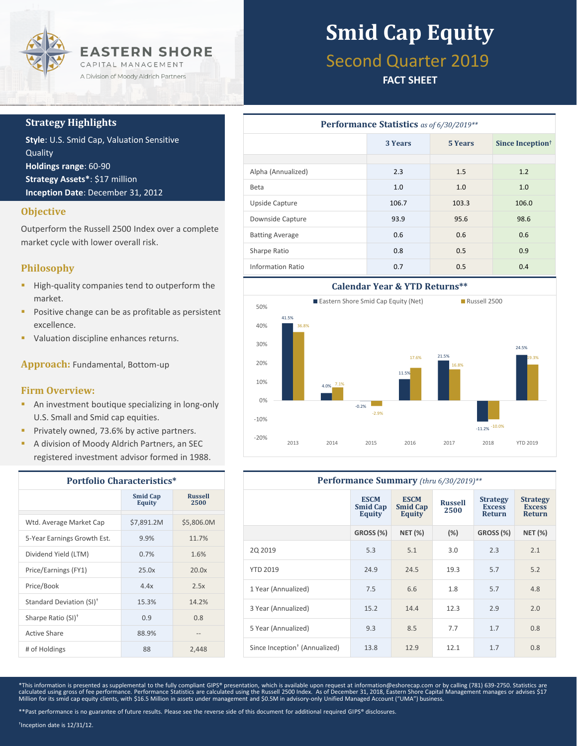

### **Strategy Highlights**

**Style**: U.S. Smid Cap, Valuation Sensitive Quality **Holdings range**: 60-90 **Strategy Assets\***: \$17 million **Inception Date**: December 31, 2012

### **Objective**

Outperform the Russell 2500 Index over a complete market cycle with lower overall risk.

### **Philosophy**

- **High-quality companies tend to outperform the** market.
- **Positive change can be as profitable as persistent** excellence.
- Valuation discipline enhances returns.

**Approach:** Fundamental, Bottom-up

#### **Firm Overview:**

- **An investment boutique specializing in long-only** U.S. Small and Smid cap equities.
- **Privately owned, 73.6% by active partners.**
- A division of Moody Aldrich Partners, an SEC registered investment advisor formed in 1988.

| <b>Portfolio Characteristics*</b>    |                                  |                        |  |  |
|--------------------------------------|----------------------------------|------------------------|--|--|
|                                      | <b>Smid Cap</b><br><b>Equity</b> | <b>Russell</b><br>2500 |  |  |
| Wtd. Average Market Cap              | \$7,891.2M                       | \$5,806.0M             |  |  |
| 5-Year Earnings Growth Est.          | 9.9%                             | 11.7%                  |  |  |
| Dividend Yield (LTM)                 | 0.7%                             | 1.6%                   |  |  |
| Price/Earnings (FY1)                 | 25.0x                            | 20.0x                  |  |  |
| Price/Book                           | 4.4x                             | 2.5x                   |  |  |
| Standard Deviation (SI) <sup>†</sup> | 15.3%                            | 14.2%                  |  |  |
| Sharpe Ratio (SI) <sup>+</sup>       | 0.9                              | 0.8                    |  |  |
| Active Share                         | 88.9%                            |                        |  |  |
| # of Holdings                        | 88                               | 2,448                  |  |  |

# **Smid Cap Equity**

## Second Quarter 2019

### **FACT SHEET**

| <b>Performance Statistics</b> as of 6/30/2019** |         |                |                              |  |  |  |
|-------------------------------------------------|---------|----------------|------------------------------|--|--|--|
|                                                 | 3 Years | <b>5 Years</b> | Since Inception <sup>†</sup> |  |  |  |
|                                                 |         |                |                              |  |  |  |
| Alpha (Annualized)                              | 2.3     | 1.5            | 1.2                          |  |  |  |
| <b>Beta</b>                                     | 1.0     | 1.0            | 1.0                          |  |  |  |
| Upside Capture                                  | 106.7   | 103.3          | 106.0                        |  |  |  |
| Downside Capture                                | 93.9    | 95.6           | 98.6                         |  |  |  |
| <b>Batting Average</b>                          | 0.6     | 0.6            | 0.6                          |  |  |  |
| Sharpe Ratio                                    | 0.8     | 0.5            | 0.9                          |  |  |  |
| Information Ratio                               | 0.7     | 0.5            | 0.4                          |  |  |  |



| Performance Summary (thru 6/30/2019)**    |                                          |                                          |                        |                                            |                                                   |  |
|-------------------------------------------|------------------------------------------|------------------------------------------|------------------------|--------------------------------------------|---------------------------------------------------|--|
|                                           | <b>ESCM</b><br><b>Smid Cap</b><br>Equity | <b>ESCM</b><br><b>Smid Cap</b><br>Equity | <b>Russell</b><br>2500 | <b>Strategy</b><br><b>Excess</b><br>Return | <b>Strategy</b><br><b>Excess</b><br><b>Return</b> |  |
|                                           | <b>GROSS (%)</b>                         | <b>NET (%)</b>                           | (%)                    | GROSS (%)                                  | <b>NET (%)</b>                                    |  |
| 20 20 19                                  | 5.3                                      | 5.1                                      | 3.0                    | 2.3                                        | 2.1                                               |  |
| <b>YTD 2019</b>                           | 24.9                                     | 24.5                                     | 19.3                   | 5.7                                        | 5.2                                               |  |
| 1 Year (Annualized)                       | 7.5                                      | 6.6                                      | 1.8                    | 5.7                                        | 4.8                                               |  |
| 3 Year (Annualized)                       | 15.2                                     | 14.4                                     | 12.3                   | 2.9                                        | 2.0                                               |  |
| 5 Year (Annualized)                       | 9.3                                      | 8.5                                      | 7.7                    | 1.7                                        | 0.8                                               |  |
| Since Inception <sup>†</sup> (Annualized) | 13.8                                     | 12.9                                     | 12.1                   | 1.7                                        | 0.8                                               |  |

\*This information is presented as supplemental to the fully compliant GIPS® presentation, which is available upon request at information@eshorecap.com or by calling (781) 639-2750. Statistics are calculated using gross of fee performance. Performance Statistics are calculated using the Russell 2500 Index. As of December 31, 2018, Eastern Shore Capital Management manages or advises \$17<br>Million for its smid cap equit

† Inception date is 12/31/12.